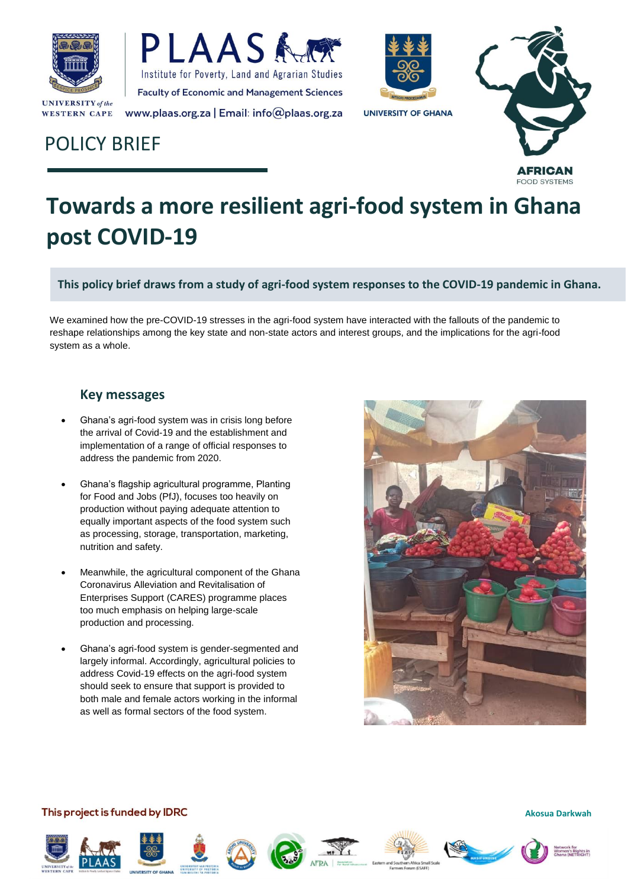



www.plaas.org.za | Email: info@plaas.org.za



**UNIVERSITY OF GHANA** 



## POLICY BRIEF

# **Towards a more resilient agri-food system in Ghana post COVID-19**

**This policy brief draws from a study of agri-food system responses to the COVID-19 pandemic in Ghana.** 

We examined how the pre-COVID-19 stresses in the agri-food system have interacted with the fallouts of the pandemic to reshape relationships among the key state and non-state actors and interest groups, and the implications for the agri-food system as a whole.

#### **Key messages**

- Ghana's agri-food system was in crisis long before the arrival of Covid-19 and the establishment and implementation of a range of official responses to address the pandemic from 2020.
- Ghana's flagship agricultural programme, Planting for Food and Jobs (PfJ), focuses too heavily on production without paying adequate attention to equally important aspects of the food system such as processing, storage, transportation, marketing, nutrition and safety.
- Meanwhile, the agricultural component of the Ghana Coronavirus Alleviation and Revitalisation of Enterprises Support (CARES) programme places too much emphasis on helping large-scale production and processing.
- Ghana's agri-food system is gender-segmented and largely informal. Accordingly, agricultural policies to address Covid-19 effects on the agri-food system should seek to ensure that support is provided to both male and female actors working in the informal as well as formal sectors of the food system.



#### This project is funded by IDRC











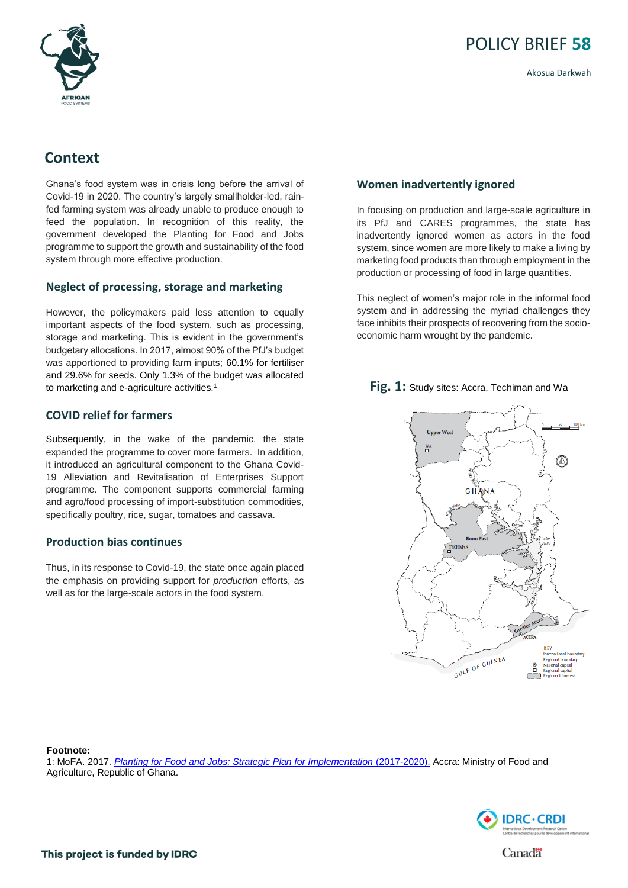

Akosua Darkwah

### **Context**

Ghana's food system was in crisis long before the arrival of Covid-19 in 2020. The country's largely smallholder-led, rainfed farming system was already unable to produce enough to feed the population. In recognition of this reality, the government developed the Planting for Food and Jobs programme to support the growth and sustainability of the food system through more effective production.

#### **Neglect of processing, storage and marketing**

However, the policymakers paid less attention to equally important aspects of the food system, such as processing, storage and marketing. This is evident in the government's budgetary allocations. In 2017, almost 90% of the PfJ's budget was apportioned to providing farm inputs; 60.1% for fertiliser and 29.6% for seeds. Only 1.3% of the budget was allocated to marketing and e-agriculture activities.<sup>1</sup>

#### **COVID relief for farmers**

Subsequently, in the wake of the pandemic, the state expanded the programme to cover more farmers. In addition, it introduced an agricultural component to the Ghana Covid-19 Alleviation and Revitalisation of Enterprises Support programme. The component supports commercial farming and agro/food processing of import-substitution commodities, specifically poultry, rice, sugar, tomatoes and cassava.

#### **Production bias continues**

Thus, in its response to Covid-19, the state once again placed the emphasis on providing support for *production* efforts, as well as for the large-scale actors in the food system.

#### **Women inadvertently ignored**

In focusing on production and large-scale agriculture in its PfJ and CARES programmes, the state has inadvertently ignored women as actors in the food system, since women are more likely to make a living by marketing food products than through employment in the production or processing of food in large quantities.

This neglect of women's major role in the informal food system and in addressing the myriad challenges they face inhibits their prospects of recovering from the socioeconomic harm wrought by the pandemic.

#### **Fig. 1:** Study sites: Accra, Techiman and Wa



**Footnote:**

1: MoFA. 2017. *[Planting for Food and Jobs: Strategic Plan for Implementation](https://mofa.gov.gh/site/programmes/pfj)* (2017-2020). Accra: Ministry of Food and Agriculture, Republic of Ghana.

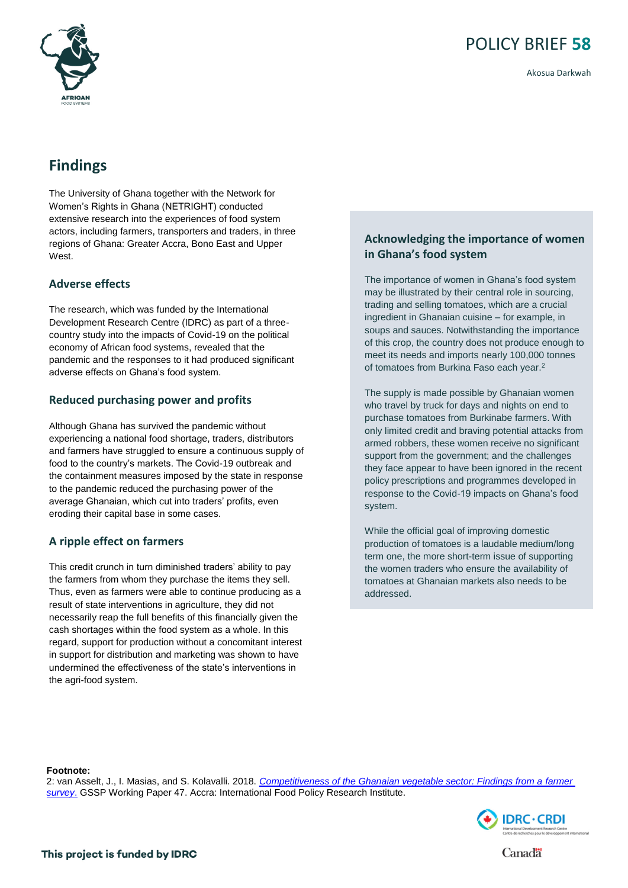

### **Findings**

The University of Ghana together with the Network for Women's Rights in Ghana (NETRIGHT) conducted extensive research into the experiences of food system actors, including farmers, transporters and traders, in three regions of Ghana: Greater Accra, Bono East and Upper West.

#### **Adverse effects**

The research, which was funded by the International Development Research Centre (IDRC) as part of a threecountry study into the impacts of Covid-19 on the political economy of African food systems, revealed that the pandemic and the responses to it had produced significant adverse effects on Ghana's food system.

#### **Reduced purchasing power and profits**

Although Ghana has survived the pandemic without experiencing a national food shortage, traders, distributors and farmers have struggled to ensure a continuous supply of food to the country's markets. The Covid-19 outbreak and the containment measures imposed by the state in response to the pandemic reduced the purchasing power of the average Ghanaian, which cut into traders' profits, even eroding their capital base in some cases.

#### **A ripple effect on farmers**

This credit crunch in turn diminished traders' ability to pay the farmers from whom they purchase the items they sell. Thus, even as farmers were able to continue producing as a result of state interventions in agriculture, they did not necessarily reap the full benefits of this financially given the cash shortages within the food system as a whole. In this regard, support for production without a concomitant interest in support for distribution and marketing was shown to have undermined the effectiveness of the state's interventions in the agri-food system.

#### **Acknowledging the importance of women in Ghana's food system**

The importance of women in Ghana's food system may be illustrated by their central role in sourcing, trading and selling tomatoes, which are a crucial ingredient in Ghanaian cuisine – for example, in soups and sauces. Notwithstanding the importance of this crop, the country does not produce enough to meet its needs and imports nearly 100,000 tonnes of tomatoes from Burkina Faso each year.<sup>2</sup>

The supply is made possible by Ghanaian women who travel by truck for days and nights on end to purchase tomatoes from Burkinabe farmers. With only limited credit and braving potential attacks from armed robbers, these women receive no significant support from the government; and the challenges they face appear to have been ignored in the recent policy prescriptions and programmes developed in response to the Covid-19 impacts on Ghana's food system.

While the official goal of improving domestic production of tomatoes is a laudable medium/long term one, the more short-term issue of supporting the women traders who ensure the availability of tomatoes at Ghanaian markets also needs to be addressed.

#### **Footnote:**

2: van Asselt, J., I. Masias, and S. Kolavalli. 2018. *[Competitiveness of the Ghanaian vegetable sector: Findings from a farmer](https://www.ifpri.org/publication/competitiveness-ghanaian-vegetable-sector-findings-farmer-survey)  [survey](https://www.ifpri.org/publication/competitiveness-ghanaian-vegetable-sector-findings-farmer-survey)*. GSSP Working Paper 47. Accra: International Food Policy Research Institute.

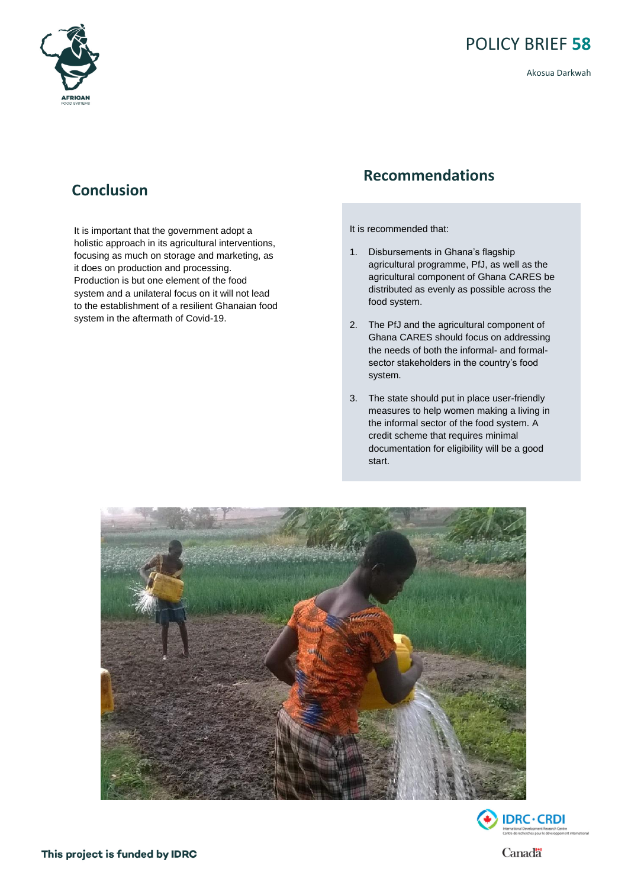

Akosua Darkwah

### **Conclusion**

It is important that the government adopt a holistic approach in its agricultural interventions, focusing as much on storage and marketing, as it does on production and processing. Production is but one element of the food system and a unilateral focus on it will not lead to the establishment of a resilient Ghanaian food system in the aftermath of Covid-19.

### **Recommendations**

It is recommended that:

- 1. Disbursements in Ghana's flagship agricultural programme, PfJ, as well as the agricultural component of Ghana CARES be distributed as evenly as possible across the food system.
- 2. The PfJ and the agricultural component of Ghana CARES should focus on addressing the needs of both the informal- and formalsector stakeholders in the country's food system.
- 3. The state should put in place user-friendly measures to help women making a living in the informal sector of the food system. A credit scheme that requires minimal documentation for eligibility will be a good start.